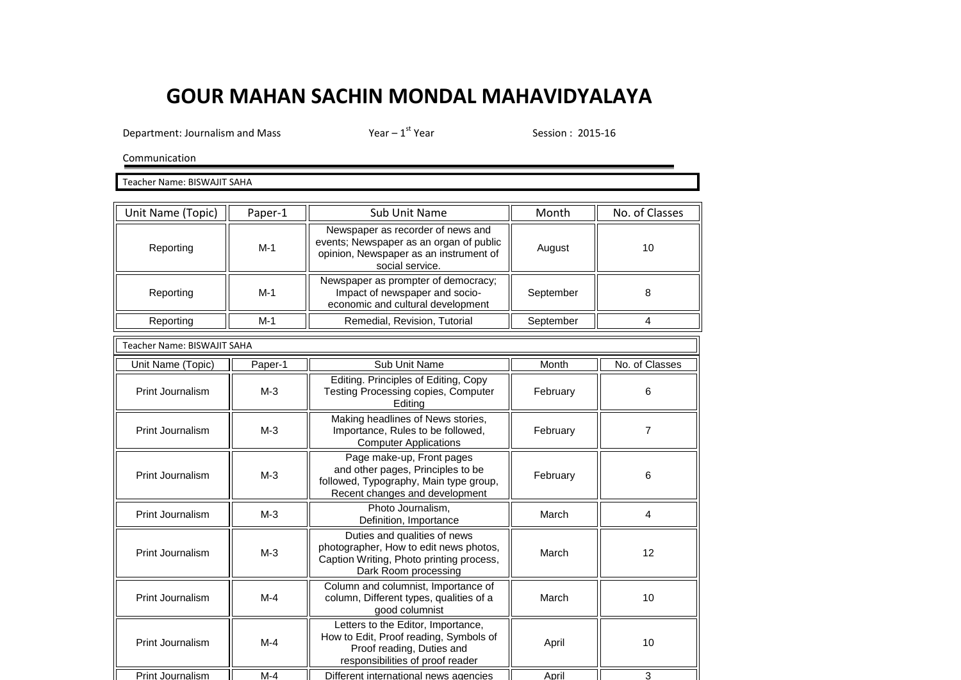## **GOUR MAHAN SACHIN MONDAL MAHAVIDYALAYA**

Department: Journalism and Mass  $Year - 1^{st}$  Year

Session : 2015-16

Communication

Teacher Name: BISWAJIT SAHA

| Unit Name (Topic)                  | Paper-1 | Sub Unit Name                                                                                                                                 | Month     | No. of Classes |
|------------------------------------|---------|-----------------------------------------------------------------------------------------------------------------------------------------------|-----------|----------------|
| Reporting                          | $M-1$   | Newspaper as recorder of news and<br>events; Newspaper as an organ of public<br>opinion, Newspaper as an instrument of<br>social service.     | August    | 10             |
| Reporting                          | $M-1$   | Newspaper as prompter of democracy;<br>Impact of newspaper and socio-<br>economic and cultural development                                    | September | 8              |
| Reporting                          | $M-1$   | Remedial, Revision, Tutorial                                                                                                                  | September | $\overline{4}$ |
| <b>Teacher Name: BISWAJIT SAHA</b> |         |                                                                                                                                               |           |                |
| Unit Name (Topic)                  | Paper-1 | Sub Unit Name                                                                                                                                 | Month     | No. of Classes |
| Print Journalism                   | $M-3$   | Editing. Principles of Editing, Copy<br><b>Testing Processing copies, Computer</b><br>Editing                                                 | February  | 6              |
| Print Journalism                   | $M-3$   | Making headlines of News stories,<br>Importance, Rules to be followed,<br><b>Computer Applications</b>                                        | February  | 7              |
| Print Journalism                   | $M-3$   | Page make-up, Front pages<br>and other pages, Principles to be<br>followed, Typography, Main type group,<br>Recent changes and development    | February  | 6              |
| Print Journalism                   | $M-3$   | Photo Journalism,<br>Definition, Importance                                                                                                   | March     | 4              |
| Print Journalism                   | $M-3$   | Duties and qualities of news<br>photographer, How to edit news photos,<br>Caption Writing, Photo printing process,<br>Dark Room processing    | March     | 12             |
| Print Journalism                   | $M-4$   | Column and columnist, Importance of<br>column, Different types, qualities of a<br>good columnist                                              | March     | 10             |
| Print Journalism                   | $M-4$   | Letters to the Editor, Importance,<br>How to Edit, Proof reading, Symbols of<br>Proof reading, Duties and<br>responsibilities of proof reader | April     | 10             |
| Print Journalism                   | $M-4$   | Different international news agencies                                                                                                         | April     | 3              |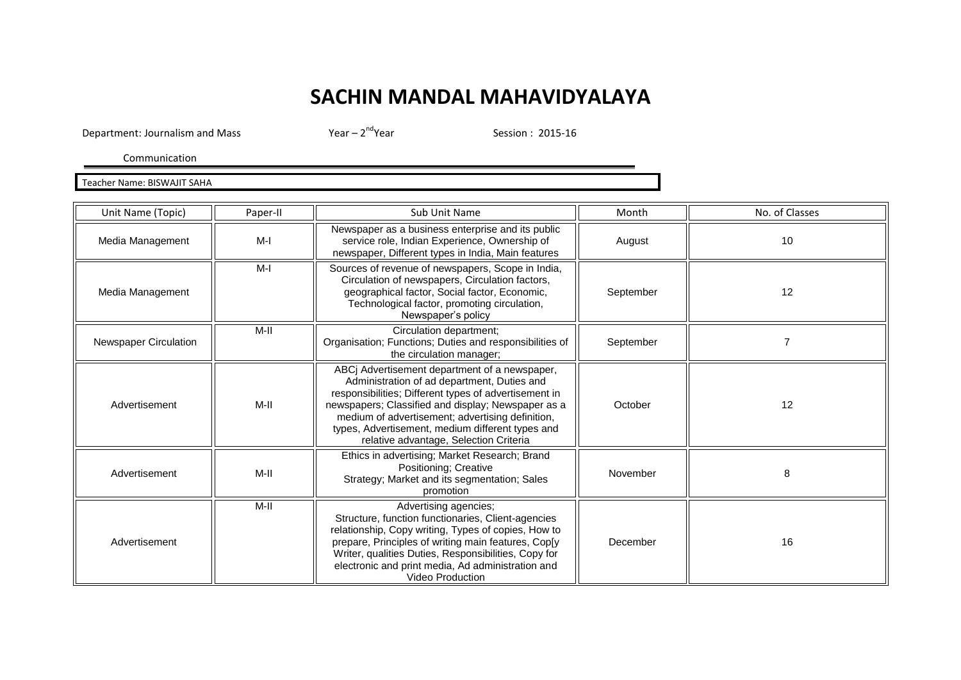## **SACHIN MANDAL MAHAVIDYALAYA**

Department: Journalism and Mass Year – 2<sup>nd</sup>Year

Session : 2015-16

Communication

Teacher Name: BISWAJIT SAHA

| Unit Name (Topic)            | Paper-II | Sub Unit Name                                                                                                                                                                                                                                                                                                                                                 | Month     | No. of Classes |
|------------------------------|----------|---------------------------------------------------------------------------------------------------------------------------------------------------------------------------------------------------------------------------------------------------------------------------------------------------------------------------------------------------------------|-----------|----------------|
| Media Management             | M-I      | Newspaper as a business enterprise and its public<br>service role, Indian Experience, Ownership of<br>newspaper, Different types in India, Main features                                                                                                                                                                                                      | August    | 10             |
| Media Management             | $M-I$    | Sources of revenue of newspapers, Scope in India,<br>Circulation of newspapers, Circulation factors,<br>geographical factor, Social factor, Economic,<br>Technological factor, promoting circulation,<br>Newspaper's policy                                                                                                                                   | September | 12             |
| <b>Newspaper Circulation</b> | M-II     | Circulation department;<br>Organisation; Functions; Duties and responsibilities of<br>the circulation manager;                                                                                                                                                                                                                                                | September | 7              |
| Advertisement                | M-II     | ABCj Advertisement department of a newspaper,<br>Administration of ad department, Duties and<br>responsibilities; Different types of advertisement in<br>newspapers; Classified and display; Newspaper as a<br>medium of advertisement; advertising definition,<br>types, Advertisement, medium different types and<br>relative advantage, Selection Criteria | October   | 12             |
| Advertisement                | $M-II$   | Ethics in advertising; Market Research; Brand<br>Positioning; Creative<br>Strategy; Market and its segmentation; Sales<br>promotion                                                                                                                                                                                                                           | November  | 8              |
| Advertisement                | M-II     | Advertising agencies;<br>Structure, function functionaries, Client-agencies<br>relationship, Copy writing, Types of copies, How to<br>prepare, Principles of writing main features, Cop[y<br>Writer, qualities Duties, Responsibilities, Copy for<br>electronic and print media, Ad administration and<br><b>Video Production</b>                             | December  | 16             |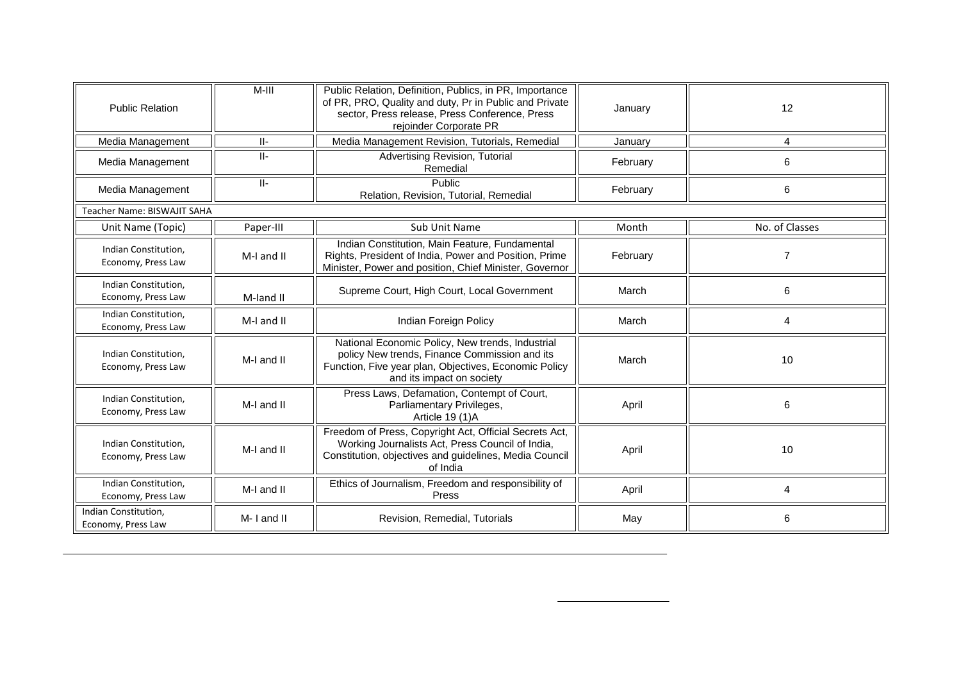| <b>Public Relation</b>                     | M-III      | Public Relation, Definition, Publics, in PR, Importance<br>of PR, PRO, Quality and duty, Pr in Public and Private<br>sector, Press release, Press Conference, Press<br>rejoinder Corporate PR | January  | 12             |
|--------------------------------------------|------------|-----------------------------------------------------------------------------------------------------------------------------------------------------------------------------------------------|----------|----------------|
| Media Management                           | $   -$     | Media Management Revision, Tutorials, Remedial                                                                                                                                                | January  | 4              |
| Media Management                           | $  $ -     | Advertising Revision, Tutorial<br>Remedial                                                                                                                                                    | February | 6              |
| Media Management                           | $  $ -     | Public<br>Relation, Revision, Tutorial, Remedial                                                                                                                                              | February | 6              |
| Teacher Name: BISWAJIT SAHA                |            |                                                                                                                                                                                               |          |                |
| Unit Name (Topic)                          | Paper-III  | Sub Unit Name                                                                                                                                                                                 | Month    | No. of Classes |
| Indian Constitution,<br>Economy, Press Law | M-I and II | Indian Constitution, Main Feature, Fundamental<br>Rights, President of India, Power and Position, Prime<br>Minister, Power and position, Chief Minister, Governor                             | February | $\overline{7}$ |
| Indian Constitution,<br>Economy, Press Law | M-land II  | Supreme Court, High Court, Local Government                                                                                                                                                   | March    | 6              |
| Indian Constitution,<br>Economy, Press Law | M-I and II | Indian Foreign Policy                                                                                                                                                                         | March    | 4              |
| Indian Constitution,<br>Economy, Press Law | M-I and II | National Economic Policy, New trends, Industrial<br>policy New trends, Finance Commission and its<br>Function, Five year plan, Objectives, Economic Policy<br>and its impact on society       | March    | 10             |
| Indian Constitution,<br>Economy, Press Law | M-I and II | Press Laws, Defamation, Contempt of Court,<br>Parliamentary Privileges,<br>Article 19 (1)A                                                                                                    | April    | 6              |
| Indian Constitution,<br>Economy, Press Law | M-I and II | Freedom of Press, Copyright Act, Official Secrets Act,<br>Working Journalists Act, Press Council of India,<br>Constitution, objectives and guidelines, Media Council<br>of India              | April    | 10             |
| Indian Constitution,<br>Economy, Press Law | M-I and II | Ethics of Journalism, Freedom and responsibility of<br>Press                                                                                                                                  | April    | 4              |
| Indian Constitution,<br>Economy, Press Law | M-I and II | Revision, Remedial, Tutorials                                                                                                                                                                 | May      | 6              |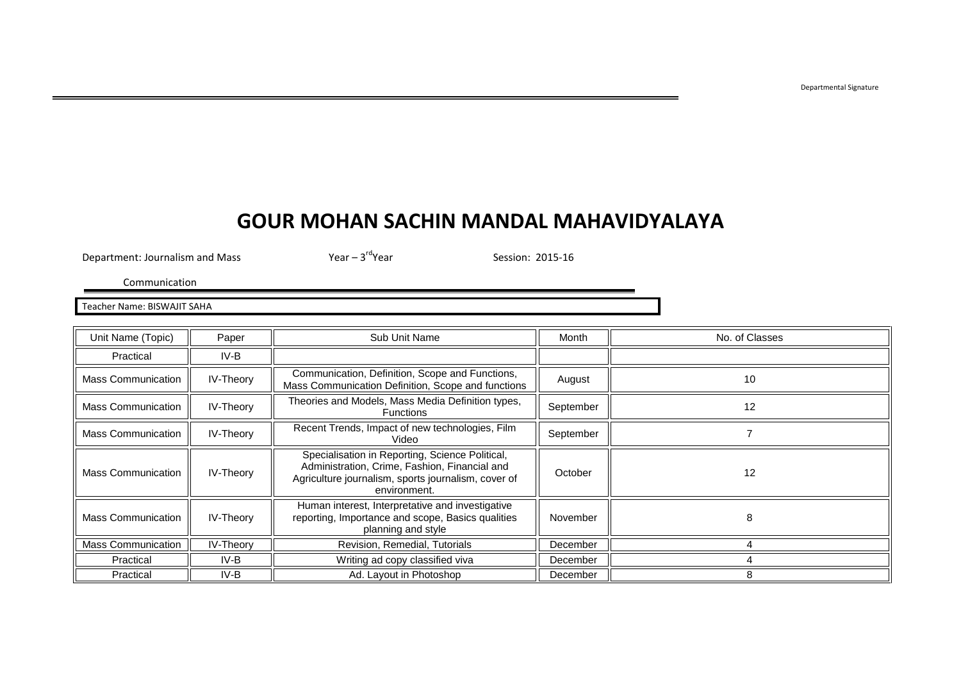## **GOUR MOHAN SACHIN MANDAL MAHAVIDYALAYA**

Department: Journalism and Mass  $Year - 3^{rd}Year$ 

Session: 2015-16

Communication

Teacher Name: BISWAJIT SAHA

| Unit Name (Topic)         | Paper            | Sub Unit Name                                                                                                                                                           | Month     | No. of Classes |
|---------------------------|------------------|-------------------------------------------------------------------------------------------------------------------------------------------------------------------------|-----------|----------------|
| Practical                 | IV-B             |                                                                                                                                                                         |           |                |
| <b>Mass Communication</b> | IV-Theory        | Communication, Definition, Scope and Functions,<br>Mass Communication Definition, Scope and functions                                                                   | August    | 10             |
| <b>Mass Communication</b> | IV-Theory        | Theories and Models, Mass Media Definition types,<br><b>Functions</b>                                                                                                   | September | 12             |
| <b>Mass Communication</b> | <b>IV-Theory</b> | Recent Trends, Impact of new technologies, Film<br>Video                                                                                                                | September |                |
| <b>Mass Communication</b> | IV-Theory        | Specialisation in Reporting, Science Political,<br>Administration, Crime, Fashion, Financial and<br>Agriculture journalism, sports journalism, cover of<br>environment. | October   | 12             |
| <b>Mass Communication</b> | <b>IV-Theory</b> | Human interest, Interpretative and investigative<br>reporting, Importance and scope, Basics qualities<br>planning and style                                             | November  | 8              |
| <b>Mass Communication</b> | <b>IV-Theory</b> | Revision, Remedial, Tutorials                                                                                                                                           | December  |                |
| Practical                 | IV-B             | Writing ad copy classified viva                                                                                                                                         | December  |                |
| Practical                 | IV-B             | Ad. Layout in Photoshop                                                                                                                                                 | December  |                |